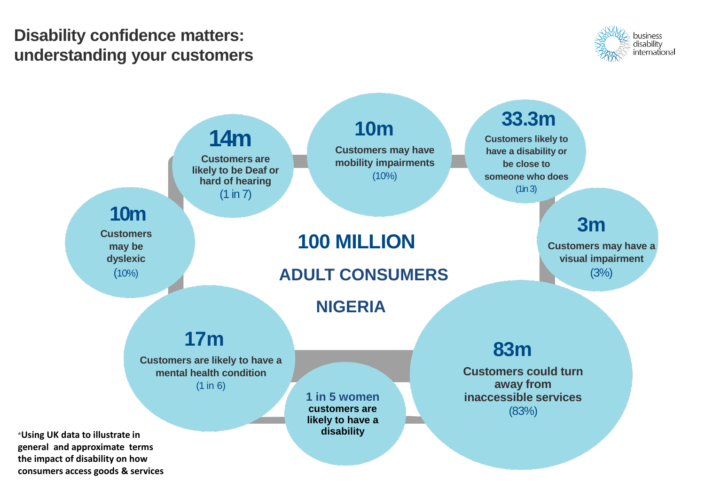## **Disability confidence matters: understanding your customers**